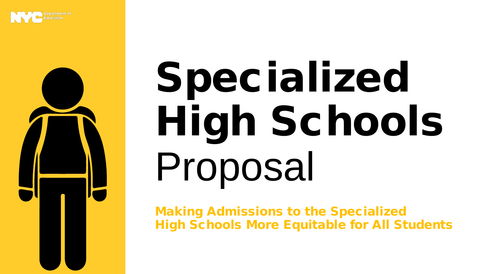

# Specialized High Schools Proposal

Making Admissions to the Specialized High Schools More Equitable for All Students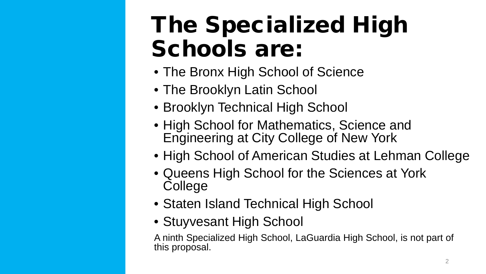# The Specialized High Schools are:

- The Bronx High School of Science
- The Brooklyn Latin School
- Brooklyn Technical High School
- High School for Mathematics, Science and Engineering at City College of New York
- High School of American Studies at Lehman College
- Queens High School for the Sciences at York College
- Staten Island Technical High School
- Stuyvesant High School

A ninth Specialized High School, LaGuardia High School, is not part of this proposal.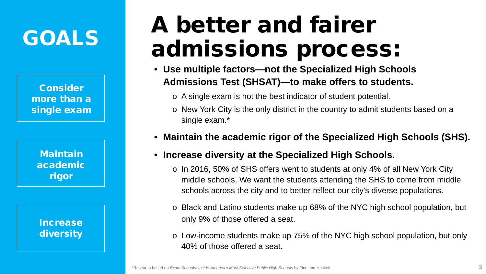## GOALS

Consider more than a single exam

> **Maintain** academic rigor

### Increase diversity

# A better and fairer admissions process:

- **Use multiple factors—not the Specialized High Schools Admissions Test (SHSAT)—to make offers to students.** 
	- o A single exam is not the best indicator of student potential.
	- o New York City is the only district in the country to admit students based on a single exam.\*
- **Maintain the academic rigor of the Specialized High Schools (SHS).**
- **Increase diversity at the Specialized High Schools.**
	- o In 2016, 50% of SHS offers went to students at only 4% of all New York City middle schools. We want the students attending the SHS to come from middle schools across the city and to better reflect our city's diverse populations.
	- o Black and Latino students make up 68% of the NYC high school population, but only 9% of those offered a seat.
	- o Low-income students make up 75% of the NYC high school population, but only 40% of those offered a seat.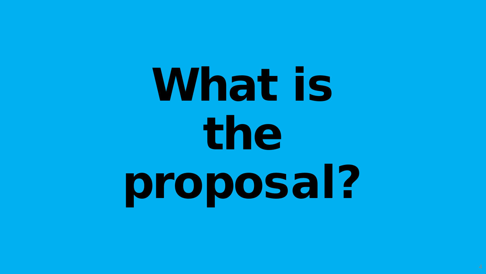# What is the proposal?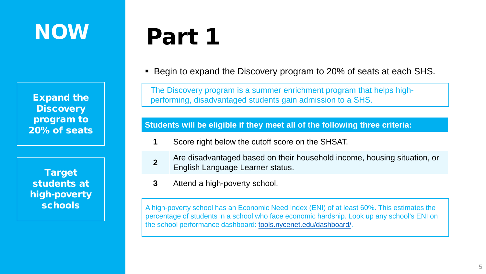## **NOW**

Expand the **Discovery** program to

Target students at high-poverty

# Part 1

Begin to expand the Discovery program to 20% of seats at each SHS.

The Discovery program is a summer enrichment program that helps highperforming, disadvantaged students gain admission to a SHS.

20% of seats **Students will be eligible if they meet all of the following three criteria:**

- **1** Score right below the cutoff score on the SHSAT.
- **2** Are disadvantaged based on their household income, housing situation, or English Language Learner status.
- **3** Attend a high-poverty school.

schools A high-poverty school has an Economic Need Index (ENI) of at least 60%. This estimates the percentage of students in a school who face economic hardship. Look up any school's ENI on the school performance dashboard: [tools.nycenet.edu/dashboard/.](https://tools.nycenet.edu/dashboard/)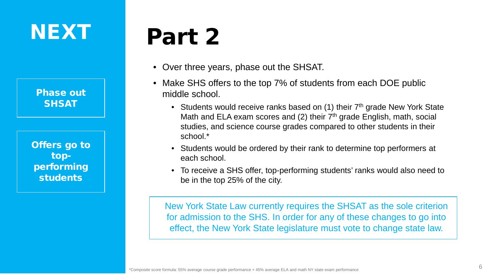## NEXT

Phase out SHSAT

Offers go to topperforming students

# Part 2

- Over three years, phase out the SHSAT.
- Make SHS offers to the top 7% of students from each DOE public middle school.
	- Students would receive ranks based on  $(1)$  their  $7<sup>th</sup>$  grade New York State Math and ELA exam scores and (2) their 7<sup>th</sup> grade English, math, social studies, and science course grades compared to other students in their school.\*
	- Students would be ordered by their rank to determine top performers at each school.
	- To receive a SHS offer, top-performing students' ranks would also need to be in the top 25% of the city.

New York State Law currently requires the SHSAT as the sole criterion for admission to the SHS. In order for any of these changes to go into effect, the New York State legislature must vote to change state law.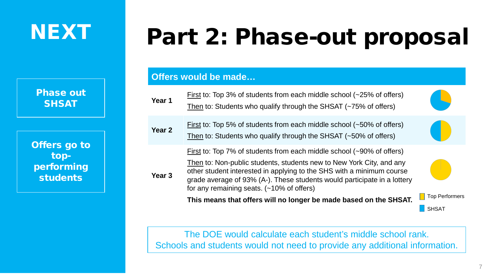## NEXT

Phase out **SHSAT** 

Offers go to topperforming students

# Part 2: Phase-out proposal

### **Offers would be made…**

| Year 1            | First to: Top 3% of students from each middle school $(-25\% \text{ of offers})$<br>Then to: Students who qualify through the SHSAT (~75% of offers)                                                                                                                                                                                                                                                                            |                       |
|-------------------|---------------------------------------------------------------------------------------------------------------------------------------------------------------------------------------------------------------------------------------------------------------------------------------------------------------------------------------------------------------------------------------------------------------------------------|-----------------------|
| Year <sub>2</sub> | First to: Top 5% of students from each middle school $(-50\% \text{ of offers})$<br>Then to: Students who qualify through the SHSAT (~50% of offers)                                                                                                                                                                                                                                                                            |                       |
| Year <sub>3</sub> | First to: Top 7% of students from each middle school (~90% of offers)<br>Then to: Non-public students, students new to New York City, and any<br>other student interested in applying to the SHS with a minimum course<br>grade average of 93% (A-). These students would participate in a lottery<br>for any remaining seats. $(-10\% \text{ of offers})$<br>This means that offers will no longer be made based on the SHSAT. | <b>Top Performers</b> |
|                   |                                                                                                                                                                                                                                                                                                                                                                                                                                 | <b>SHSAT</b>          |

The DOE would calculate each student's middle school rank. Schools and students would not need to provide any additional information.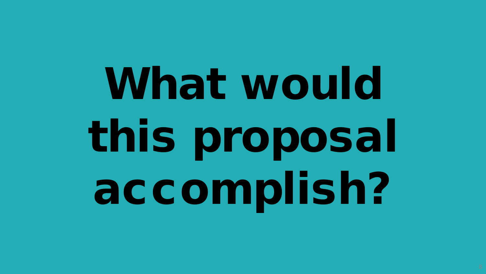# What would this proposal accomplish?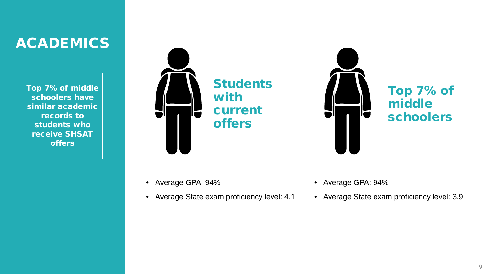## **ACADEMICS**

Top 7% of middle schoolers have similar academic records to students who receive SHSAT offers



**Students** with current offers

Top 7% of middle schoolers

- Average GPA: 94%
- Average State exam proficiency level: 4.1
- Average GPA: 94%
- Average State exam proficiency level: 3.9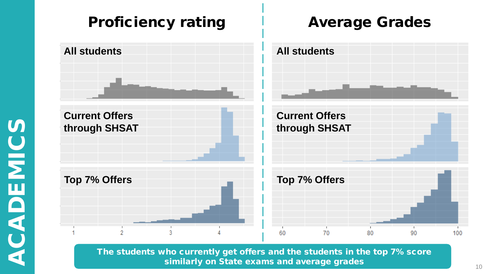

The students who currently get offers and the students in the top 7% score similarly on State exams and average grades 10 million control to the 10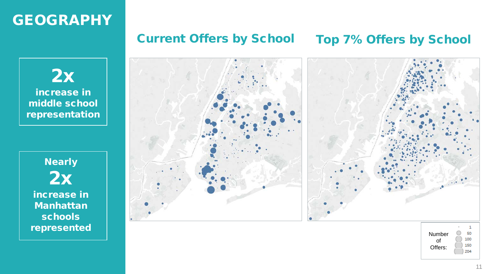## GEOGRAPHY

## Current Offers by School Top 7% Offers by School

2x increase in middle school representation

**Nearly** 2x increase in Manhattan schools represented



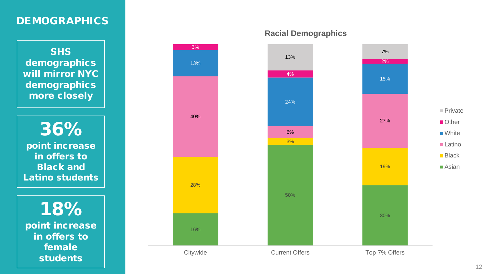## DEMOGRAPHICS

SHS demographics will mirror NYC demographics more closely

36% point increase in offers to Black and Latino students

18% point increase in offers to female students



**Racial Demographics**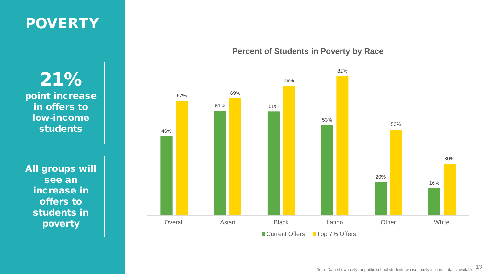## POVERTY

21% point increase in offers to low-income students

All groups will see an increase in offers to students in poverty

### **Percent of Students in Poverty by Race**

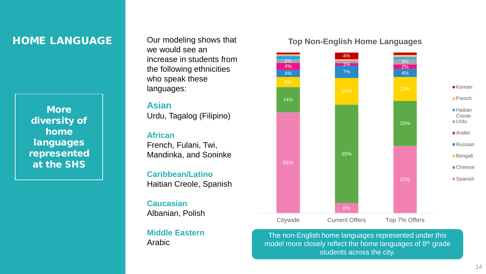### HOME LANGUAGE

**More** diversity of home languages represented at the SHS

Our modeling shows that we would see an increase in students from the following ethnicities who speak these languages:

#### **Asian**

Urdu, Tagalog (Filipino)

#### **African**

French, Fulani, Twi, Mandinka, and Soninke

**Caribbean/Latino** Haitian Creole, Spanish

**Caucasian** Albanian, Polish

**Middle Eastern** Arabic

#### **Top Non-English Home Languages**



The non-English home languages represented under this model more closely reflect the home languages of 8<sup>th</sup> grade students across the city.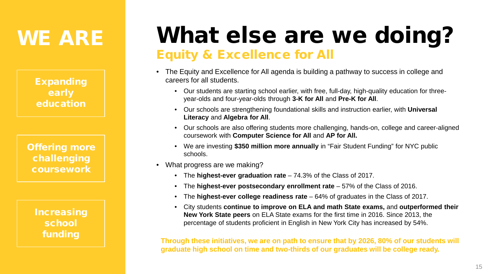## WE ARE

Expanding early education

Offering more challenging coursework

> Increasing school funding

## What else are we doing? Equity & Excellence for All

- The Equity and Excellence for All agenda is building a pathway to success in college and careers for all students.
	- Our students are starting school earlier, with free, full-day, high-quality education for threeyear-olds and four-year-olds through **3-K for All** and **Pre-K for All**.
	- Our schools are strengthening foundational skills and instruction earlier, with **Universal Literacy** and **Algebra for All**.
	- Our schools are also offering students more challenging, hands-on, college and career-aligned coursework with **Computer Science for All** and **AP for All.**
	- We are investing **\$350 million more annually** in "Fair Student Funding" for NYC public schools.
- What progress are we making?
	- The **highest-ever graduation rate** 74.3% of the Class of 2017.
	- The **highest-ever postsecondary enrollment rate** 57% of the Class of 2016.
	- The **highest-ever college readiness rate**  64% of graduates in the Class of 2017.
	- City students **continue to improve on ELA and math State exams,** and **outperformed their New York State peers** on ELA State exams for the first time in 2016. Since 2013, the percentage of students proficient in English in New York City has increased by 54%.

**Through these initiatives, we are on path to ensure that by 2026, 80% of our students will graduate high school on time and two-thirds of our graduates will be college ready.**